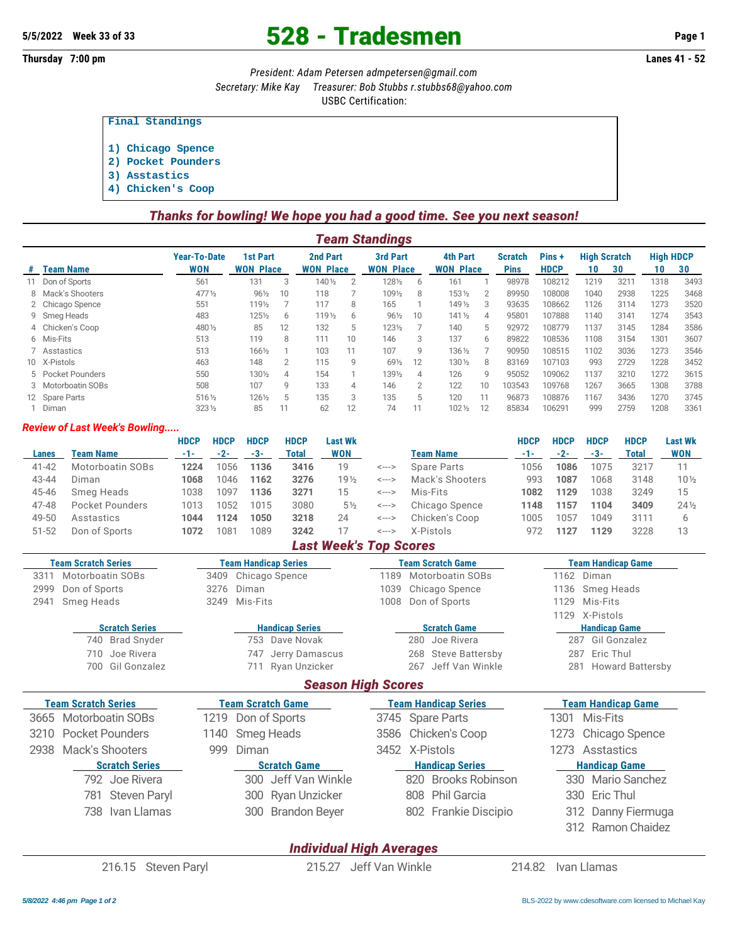## 5/5/2022 Week 33 of 33 **528 - Tradesmen Page 1**

**Thursday 7:00 pm Lanes 41 - 52**

*President: Adam Petersen [admpetersen@gmail.com](mailto:admpetersen@gmail.com)*

*Secretary: Mike Kay Treasurer: Bob Stubbs [r.stubbs68@yahoo.com](mailto:r.stubbs68@yahoo.com)*

USBC Certification:

**Final Standings**

- **1) Chicago Spence**
- **2) Pocket Pounders**
- **3) Asstastics**
- **4) Chicken's Coop**

| Thanks for bowling! We hope you had a good time. See you next season! |  |  |  |  |
|-----------------------------------------------------------------------|--|--|--|--|
|-----------------------------------------------------------------------|--|--|--|--|

| Team Standings     |                                   |                 |                |                              |    |                                     |                |                              |    |                                     |                      |      |      |                     |                  |
|--------------------|-----------------------------------|-----------------|----------------|------------------------------|----|-------------------------------------|----------------|------------------------------|----|-------------------------------------|----------------------|------|------|---------------------|------------------|
| <b>Team Name</b>   | <b>Year-To-Date</b><br><b>WON</b> |                 |                |                              |    |                                     |                |                              |    | <b>Scratch</b><br><b>Pins</b>       | Pins+<br><b>HDCP</b> | 10   | 30   | 10                  | 30               |
| 11 Don of Sports   | 561                               | 131             | 3              | 140 1/2                      |    | 1281/2                              | 6              | 161                          |    | 98978                               | 108212               | 1219 | 3211 | 1318                | 3493             |
| 8 Mack's Shooters  | $477\frac{1}{2}$                  | $96\frac{1}{2}$ | 10             | 118                          |    | 1091/2                              | 8              | 1531/2                       | 2  | 89950                               | 108008               | 1040 | 2938 | 1225                | 3468             |
| 2 Chicago Spence   | 551                               | 1191/2          |                | 117                          | 8  | 165                                 |                | 149 1/2                      | 3  | 93635                               | 108662               | 1126 | 3114 | 1273                | 3520             |
| 9 Smeg Heads       | 483                               | 1251/2          | 6              | 119 <sub>2</sub>             | 6  | $96\frac{1}{2}$                     | 10             | $141\frac{1}{2}$             | 4  | 95801                               | 107888               | 1140 | 3141 | 1274                | 3543             |
| 4 Chicken's Coop   | 480 1/2                           | 85              | 12             | 132                          | 5  | 1231/2                              |                | 140                          | 5  | 92972                               | 108779               | 1137 | 3145 | 1284                | 3586             |
| 6 Mis-Fits         | 513                               | 119             | 8              | 111                          | 10 | 146                                 | 3              | 137                          | 6  | 89822                               | 108536               | 1108 | 3154 | 1301                | 3607             |
| 7 Asstastics       | 513                               | 1661/2          |                | 103                          | 11 | 107                                 | q              | 136 1/2                      |    | 90950                               | 108515               | 1102 | 3036 | 1273                | 3546             |
| 10 X-Pistols       | 463                               | 148             | $\overline{2}$ | 115                          | 9  | 691/2                               | 12             | 130 1/2                      | 8  | 83169                               | 107103               | 993  | 2729 | 1228                | 3452             |
| 5 Pocket Pounders  | 550                               | 1301/2          | 4              | 154                          |    | 1391/2                              | $\overline{4}$ | 126                          | 9  | 95052                               | 109062               | 1137 | 3210 | 1272                | 3615             |
| 3 Motorboatin SOBs | 508                               | 107             | g              | 133                          | 4  | 146                                 | $\overline{2}$ | 122                          | 10 | 103543                              | 109768               | 1267 | 3665 | 1308                | 3788             |
| 12 Spare Parts     | 516 1/2                           | 1261/2          | 5              | 135                          | 3  | 135                                 | 5              | 120                          |    | 96873                               | 108876               | 1167 | 3436 | 1270                | 3745             |
| Diman              | $323\frac{1}{2}$                  | 85              |                | 62                           | 12 | 74                                  |                | $102\frac{1}{2}$             | 12 | 85834                               | 106291               | 999  | 2759 | 1208                | 3361             |
|                    |                                   |                 |                | 1st Part<br><b>WON Place</b> |    | <b>2nd Part</b><br><b>WON Place</b> |                | 3rd Part<br><b>WON Place</b> |    | <b>4th Part</b><br><b>WON Place</b> |                      |      |      | <b>High Scratch</b> | <b>High HDCP</b> |

### *Review of Last Week's Bowling.....*

|           |                               | <b>HDCP</b> | <b>HDCP</b> | <b>HDCP</b> | <b>HDCP</b> | <b>Last Wk</b>  |                            |                    | <b>HDCP</b> | <b>HDCP</b> | <b>HDCP</b> | <b>HDCP</b>  | <b>Last Wk</b>  |
|-----------|-------------------------------|-------------|-------------|-------------|-------------|-----------------|----------------------------|--------------------|-------------|-------------|-------------|--------------|-----------------|
| Lanes     | Team Name                     | $-1-$       | $-2-$       | -3-         | Total       | <b>WON</b>      |                            | <b>Team Name</b>   | -1-         | $-2-$       | -3-         | <b>Total</b> | <b>WON</b>      |
| $41 - 42$ | Motorboatin SOBs              | 1224        | 1056        | 1136        | 3416        | 19              | <--->                      | <b>Spare Parts</b> | 1056        | 1086        | 1075        | 3217         |                 |
| 43-44     | Diman                         | 1068        | 1046        | 1162        | 3276        | 19 <sub>2</sub> | <--->                      | Mack's Shooters    | 993         | 1087        | 1068        | 3148         | $10\%$          |
| 45-46     | Smeg Heads                    | 1038        | 1097        | 1136        | 3271        | 15              | <--->                      | Mis-Fits           | 1082        | 1129        | 1038        | 3249         | 15              |
| 47-48     | Pocket Pounders               | 1013        | 1052        | 1015        | 3080        | $5\frac{1}{2}$  | <--->                      | Chicago Spence     | 1148        | 1157        | 1104        | 3409         | $24\frac{1}{2}$ |
| 49-50     | Asstastics                    | 1044        | 1124        | 1050        | 3218        | 24              | <--->                      | Chicken's Coop     | 1005        | 1057        | 1049        | 3111         | 6               |
| 51-52     | Don of Sports                 | 1072        | 1081        | 1089        | 3242        |                 | $\leftarrow$ $\rightarrow$ | X-Pistols          | 972         | 1127        | 1129        | 3228         | 13              |
|           | <b>Last Week's Top Scores</b> |             |             |             |             |                 |                            |                    |             |             |             |              |                 |

| <b>Team Scratch Series</b> | <b>Team Handicap Series</b> | <b>Team Scratch Game</b> | <b>Team Handicap Game</b> |
|----------------------------|-----------------------------|--------------------------|---------------------------|
| 3311 Motorboatin SOBs      | 3409 Chicago Spence         | 1189 Motorboatin SOBs    | 1162 Diman                |
| 2999 Don of Sports         | 3276 Diman                  | 1039 Chicago Spence      | 1136 Smeg Heads           |
| 2941 Smeg Heads            | 3249 Mis-Fits               | 1008 Don of Sports       | 1129 Mis-Fits             |

*Season High Scores*

| <b>Scratch Series</b> |                 |  |  |  |  |  |  |  |  |
|-----------------------|-----------------|--|--|--|--|--|--|--|--|
|                       | 740 Brad Snyder |  |  |  |  |  |  |  |  |
|                       | 710 Joe Rivera  |  |  |  |  |  |  |  |  |

700 Gil Gonzalez 711 Ryan Unzicker 267 Jeff Van Winkle 281 Howard Battersby

| ream Scratch Series   |  | Team Scratch Game   | Team Handicap Series   | Team Handicap Game   |
|-----------------------|--|---------------------|------------------------|----------------------|
| 3665 Motorboatin SOBs |  | 1219 Don of Sports  | 3745 Spare Parts       | 1301 Mis-Fits        |
| 3210 Pocket Pounders  |  | 1140 Smeg Heads     | 3586 Chicken's Coop    | 1273 Chicago Spence  |
| 2938 Mack's Shooters  |  | 999 Diman           | 3452 X-Pistols         | 1273 Asstastics      |
| <b>Scratch Series</b> |  | <b>Scratch Game</b> | <b>Handicap Series</b> | <b>Handicap Game</b> |
| 792 Joe Rivera        |  | 300 Jeff Van Winkle | 820 Brooks Robinson    | 330 Mario Sanchez    |
| 781 Steven Paryl      |  | 300 Ryan Unzicker   | 808 Phil Garcia        | 330 Eric Thul        |

**Handicap Series Mandicap Series Constants Scratch Game Handicap Game Handicap Game** 753 Dave Novak 280 Joe Rivera 287 Gil Gonzalez 747 Jerry Damascus 268 Steve Battersby 287 Eric Thul

738 Ivan Llamas 300 Brandon Beyer 802 Frankie Discipio 312 Danny Fiermuga

# **Team Scratch Series Team Scratch Game Team Handicap Series Team Handicap Game**

1129 X-Pistols

- 
- 
- 312 Ramon Chaidez

## *Individual High Averages*